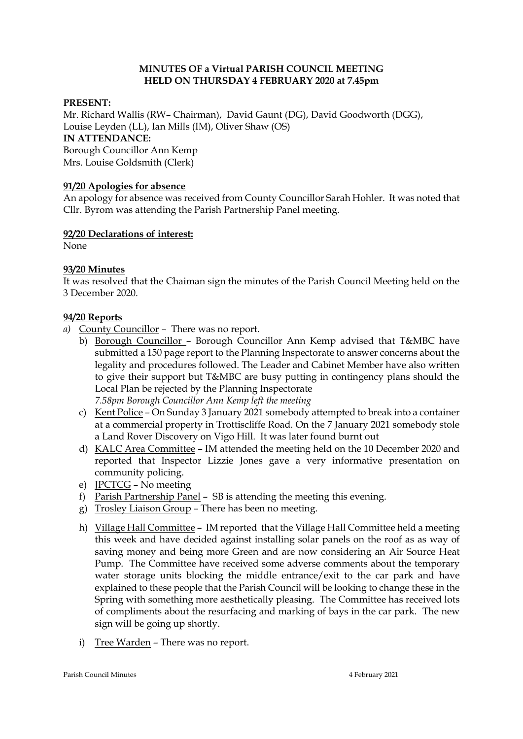## **MINUTES OF a Virtual PARISH COUNCIL MEETING HELD ON THURSDAY 4 FEBRUARY 2020 at 7.45pm**

### **PRESENT:**

Mr. Richard Wallis (RW– Chairman), David Gaunt (DG), David Goodworth (DGG), Louise Leyden (LL), Ian Mills (IM), Oliver Shaw (OS) **IN ATTENDANCE:**  Borough Councillor Ann Kemp Mrs. Louise Goldsmith (Clerk)

### **91/20 Apologies for absence**

An apology for absence was received from County Councillor Sarah Hohler. It was noted that Cllr. Byrom was attending the Parish Partnership Panel meeting.

#### **92/20 Declarations of interest:**

None

### **93/20 Minutes**

It was resolved that the Chaiman sign the minutes of the Parish Council Meeting held on the 3 December 2020.

### **94/20 Reports**

- *a)* County Councillor There was no report.
	- b) Borough Councillor Borough Councillor Ann Kemp advised that T&MBC have submitted a 150 page report to the Planning Inspectorate to answer concerns about the legality and procedures followed. The Leader and Cabinet Member have also written to give their support but T&MBC are busy putting in contingency plans should the Local Plan be rejected by the Planning Inspectorate *7.58pm Borough Councillor Ann Kemp left the meeting*
	- c) Kent Police On Sunday 3 January 2021 somebody attempted to break into a container at a commercial property in Trottiscliffe Road. On the 7 January 2021 somebody stole a Land Rover Discovery on Vigo Hill. It was later found burnt out
	- d) KALC Area Committee IM attended the meeting held on the 10 December 2020 and reported that Inspector Lizzie Jones gave a very informative presentation on community policing.
	- e) JPCTCG No meeting
	- f) Parish Partnership Panel SB is attending the meeting this evening.
	- g) Trosley Liaison Group There has been no meeting.
	- h) Village Hall Committee IM reported that the Village Hall Committee held a meeting this week and have decided against installing solar panels on the roof as as way of saving money and being more Green and are now considering an Air Source Heat Pump. The Committee have received some adverse comments about the temporary water storage units blocking the middle entrance/exit to the car park and have explained to these people that the Parish Council will be looking to change these in the Spring with something more aesthetically pleasing. The Committee has received lots of compliments about the resurfacing and marking of bays in the car park. The new sign will be going up shortly.
	- i) Tree Warden There was no report.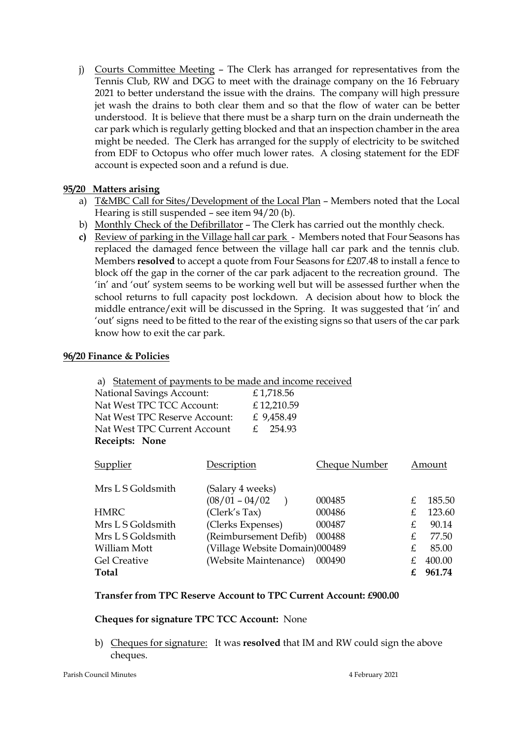j) Courts Committee Meeting – The Clerk has arranged for representatives from the Tennis Club, RW and DGG to meet with the drainage company on the 16 February 2021 to better understand the issue with the drains. The company will high pressure jet wash the drains to both clear them and so that the flow of water can be better understood. It is believe that there must be a sharp turn on the drain underneath the car park which is regularly getting blocked and that an inspection chamber in the area might be needed. The Clerk has arranged for the supply of electricity to be switched from EDF to Octopus who offer much lower rates. A closing statement for the EDF account is expected soon and a refund is due.

# **95/20 Matters arising**

- a) T&MBC Call for Sites/Development of the Local Plan Members noted that the Local Hearing is still suspended – see item 94/20 (b).
- b) Monthly Check of the Defibrillator The Clerk has carried out the monthly check.
- **c)** Review of parking in the Village hall car park Members noted that Four Seasons has replaced the damaged fence between the village hall car park and the tennis club. Members **resolved** to accept a quote from Four Seasons for £207.48 to install a fence to block off the gap in the corner of the car park adjacent to the recreation ground. The 'in' and 'out' system seems to be working well but will be assessed further when the school returns to full capacity post lockdown. A decision about how to block the middle entrance/exit will be discussed in the Spring. It was suggested that 'in' and 'out' signs need to be fitted to the rear of the existing signs so that users of the car park know how to exit the car park.

## **96/20 Finance & Policies**

|  | a) Statement of payments to be made and income received                                                                        |                       |                                |                      |          |        |
|--|--------------------------------------------------------------------------------------------------------------------------------|-----------------------|--------------------------------|----------------------|----------|--------|
|  | <b>National Savings Account:</b><br>Nat West TPC TCC Account:<br>Nat West TPC Reserve Account:<br>Nat West TPC Current Account |                       | £1,718.56                      |                      |          |        |
|  |                                                                                                                                |                       | £12,210.59                     |                      |          |        |
|  |                                                                                                                                |                       | £ 9,458.49                     |                      |          |        |
|  |                                                                                                                                |                       | 254.93<br>£.                   |                      |          |        |
|  | Receipts: None                                                                                                                 |                       |                                |                      |          |        |
|  | <b>Supplier</b>                                                                                                                | Description           |                                | <b>Cheque Number</b> |          | Amount |
|  | Mrs L S Goldsmith                                                                                                              | (Salary 4 weeks)      |                                |                      |          |        |
|  | <b>HMRC</b>                                                                                                                    | $(08/01 - 04/02)$     |                                | 000485               | £.<br>£. | 185.50 |
|  |                                                                                                                                | (Clerk's Tax)         |                                | 000486               |          | 123.60 |
|  | Mrs L S Goldsmith                                                                                                              | (Clerks Expenses)     |                                | 000487               | £        | 90.14  |
|  | Mrs L S Goldsmith                                                                                                              | (Reimbursement Defib) |                                | 000488               | £.       | 77.50  |
|  | William Mott                                                                                                                   |                       | (Village Website Domain)000489 |                      | £.       | 85.00  |
|  | <b>Gel Creative</b>                                                                                                            |                       | (Website Maintenance)          | 000490               | £        | 400.00 |
|  | Total                                                                                                                          |                       |                                |                      | £        | 961.74 |
|  |                                                                                                                                |                       |                                |                      |          |        |

## **Transfer from TPC Reserve Account to TPC Current Account: £900.00**

## **Cheques for signature TPC TCC Account:** None

b) Cheques for signature: It was **resolved** that IM and RW could sign the above cheques.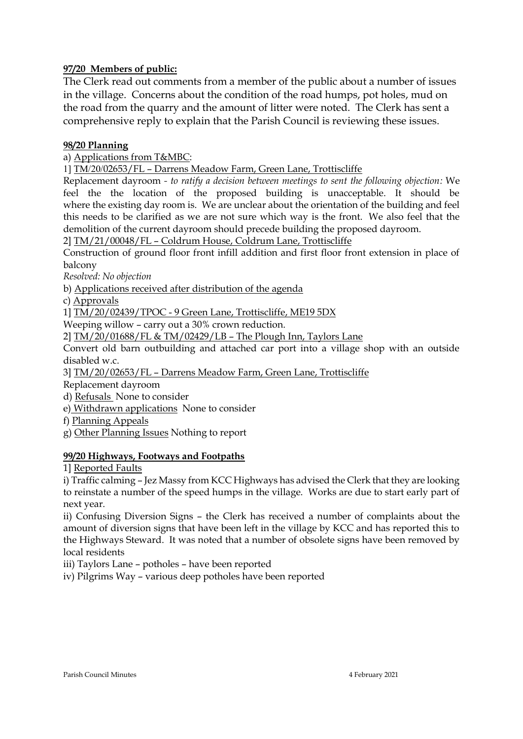# **97/20 Members of public:**

The Clerk read out comments from a member of the public about a number of issues in the village. Concerns about the condition of the road humps, pot holes, mud on the road from the quarry and the amount of litter were noted. The Clerk has sent a comprehensive reply to explain that the Parish Council is reviewing these issues.

## **98/20 Planning**

a) Applications from T&MBC:

1] TM/20/02653/FL – Darrens Meadow Farm, Green Lane, Trottiscliffe

Replacement dayroom *- to ratify a decision between meetings to sent the following objection:* We feel the the location of the proposed building is unacceptable. It should be where the existing day room is. We are unclear about the orientation of the building and feel this needs to be clarified as we are not sure which way is the front. We also feel that the demolition of the current dayroom should precede building the proposed dayroom.

2] TM/21/00048/FL – Coldrum House, Coldrum Lane, Trottiscliffe

Construction of ground floor front infill addition and first floor front extension in place of balcony

*Resolved: No objection* 

b) Applications received after distribution of the agenda

c) Approvals

1] TM/20/02439/TPOC - 9 Green Lane, Trottiscliffe, ME19 5DX

Weeping willow – carry out a 30% crown reduction.

2] TM/20/01688/FL & TM/02429/LB – The Plough Inn, Taylors Lane

Convert old barn outbuilding and attached car port into a village shop with an outside disabled w.c.

3] TM/20/02653/FL – Darrens Meadow Farm, Green Lane, Trottiscliffe

Replacement dayroom

d) Refusals None to consider

e) Withdrawn applications None to consider

f) Planning Appeals

g) Other Planning Issues Nothing to report

## **99/20 Highways, Footways and Footpaths**

1] Reported Faults

i) Traffic calming – Jez Massy from KCC Highways has advised the Clerk that they are looking to reinstate a number of the speed humps in the village. Works are due to start early part of next year.

ii) Confusing Diversion Signs – the Clerk has received a number of complaints about the amount of diversion signs that have been left in the village by KCC and has reported this to the Highways Steward. It was noted that a number of obsolete signs have been removed by local residents

iii) Taylors Lane – potholes – have been reported

iv) Pilgrims Way – various deep potholes have been reported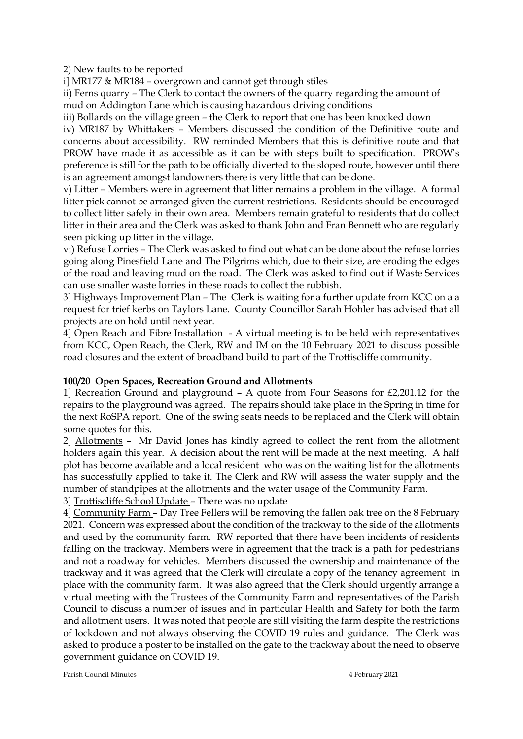2) New faults to be reported

i] MR177 & MR184 – overgrown and cannot get through stiles

ii) Ferns quarry – The Clerk to contact the owners of the quarry regarding the amount of mud on Addington Lane which is causing hazardous driving conditions

iii) Bollards on the village green – the Clerk to report that one has been knocked down

iv) MR187 by Whittakers – Members discussed the condition of the Definitive route and concerns about accessibility. RW reminded Members that this is definitive route and that PROW have made it as accessible as it can be with steps built to specification. PROW's preference is still for the path to be officially diverted to the sloped route, however until there is an agreement amongst landowners there is very little that can be done.

v) Litter – Members were in agreement that litter remains a problem in the village. A formal litter pick cannot be arranged given the current restrictions. Residents should be encouraged to collect litter safely in their own area. Members remain grateful to residents that do collect litter in their area and the Clerk was asked to thank John and Fran Bennett who are regularly seen picking up litter in the village.

vi) Refuse Lorries – The Clerk was asked to find out what can be done about the refuse lorries going along Pinesfield Lane and The Pilgrims which, due to their size, are eroding the edges of the road and leaving mud on the road. The Clerk was asked to find out if Waste Services can use smaller waste lorries in these roads to collect the rubbish.

3] Highways Improvement Plan – The Clerk is waiting for a further update from KCC on a a request for trief kerbs on Taylors Lane. County Councillor Sarah Hohler has advised that all projects are on hold until next year.

4] Open Reach and Fibre Installation - A virtual meeting is to be held with representatives from KCC, Open Reach, the Clerk, RW and IM on the 10 February 2021 to discuss possible road closures and the extent of broadband build to part of the Trottiscliffe community.

## **100/20 Open Spaces, Recreation Ground and Allotments**

1] Recreation Ground and playground – A quote from Four Seasons for £2,201.12 for the repairs to the playground was agreed. The repairs should take place in the Spring in time for the next RoSPA report. One of the swing seats needs to be replaced and the Clerk will obtain some quotes for this.

2] Allotments – Mr David Jones has kindly agreed to collect the rent from the allotment holders again this year. A decision about the rent will be made at the next meeting. A half plot has become available and a local resident who was on the waiting list for the allotments has successfully applied to take it. The Clerk and RW will assess the water supply and the number of standpipes at the allotments and the water usage of the Community Farm.

3] Trottiscliffe School Update – There was no update

4] Community Farm – Day Tree Fellers will be removing the fallen oak tree on the 8 February 2021. Concern was expressed about the condition of the trackway to the side of the allotments and used by the community farm. RW reported that there have been incidents of residents falling on the trackway. Members were in agreement that the track is a path for pedestrians and not a roadway for vehicles. Members discussed the ownership and maintenance of the trackway and it was agreed that the Clerk will circulate a copy of the tenancy agreement in place with the community farm. It was also agreed that the Clerk should urgently arrange a virtual meeting with the Trustees of the Community Farm and representatives of the Parish Council to discuss a number of issues and in particular Health and Safety for both the farm and allotment users. It was noted that people are still visiting the farm despite the restrictions of lockdown and not always observing the COVID 19 rules and guidance. The Clerk was asked to produce a poster to be installed on the gate to the trackway about the need to observe government guidance on COVID 19.